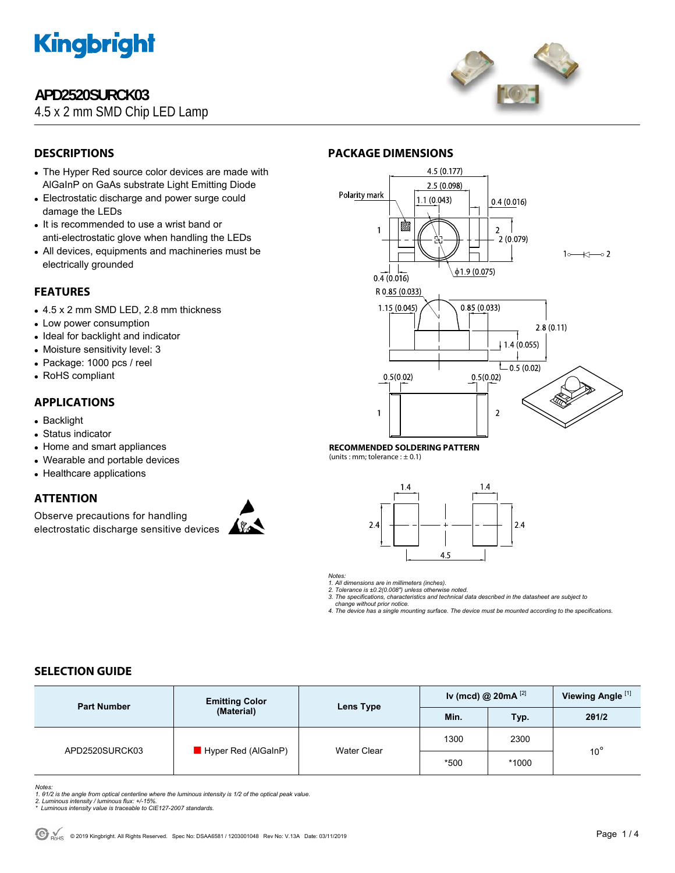

# **APD2520SURCK03**

4.5 x 2 mm SMD Chip LED Lamp



## **DESCRIPTIONS**

- The Hyper Red source color devices are made with AlGaInP on GaAs substrate Light Emitting Diode
- Electrostatic discharge and power surge could damage the LEDs
- It is recommended to use a wrist band or anti-electrostatic glove when handling the LEDs
- All devices, equipments and machineries must be electrically grounded

## **FEATURES**

- 4.5 x 2 mm SMD LED, 2.8 mm thickness
- Low power consumption
- Ideal for backlight and indicator
- Moisture sensitivity level: 3
- Package: 1000 pcs / reel
- RoHS compliant

## **APPLICATIONS**

- Backlight
- Status indicator
- Home and smart appliances
- Wearable and portable devices
- Healthcare applications

## **ATTENTION**

Observe precautions for handling electrostatic discharge sensitive devices





#### **RECOMMENDED SOLDERING PATTERN**

**PACKAGE DIMENSIONS** 

(units : mm; tolerance :  $\pm$  0.1)



*Notes:* 

*1. All dimensions are in millimeters (inches). 2. Tolerance is ±0.2(0.008") unless otherwise noted.* 

*3. The specifications, characteristics and technical data described in the datasheet are subject to* 

 *change without prior notice. 4. The device has a single mounting surface. The device must be mounted according to the specifications.* 

## **SELECTION GUIDE**

| <b>Part Number</b> | <b>Emitting Color</b><br>(Material) | Lens Type   | Iv (mcd) @ 20mA $^{[2]}$ |       | Viewing Angle <sup>[1]</sup> |
|--------------------|-------------------------------------|-------------|--------------------------|-------|------------------------------|
|                    |                                     |             | Min.                     | Typ.  | 201/2                        |
| APD2520SURCK03     | $\blacksquare$ Hyper Red (AlGaInP)  | Water Clear | 1300                     | 2300  |                              |
|                    |                                     |             | *500                     | *1000 | $10^{\circ}$                 |

*Notes:* 

1. 01/2 is the angle from optical centerline where the luminous intensity is 1/2 of the optical peak value.<br>2. Luminous intensity / luminous flux: +/-15%.<br>\* Luminous intensity value is traceable to CIE127-2007 standards.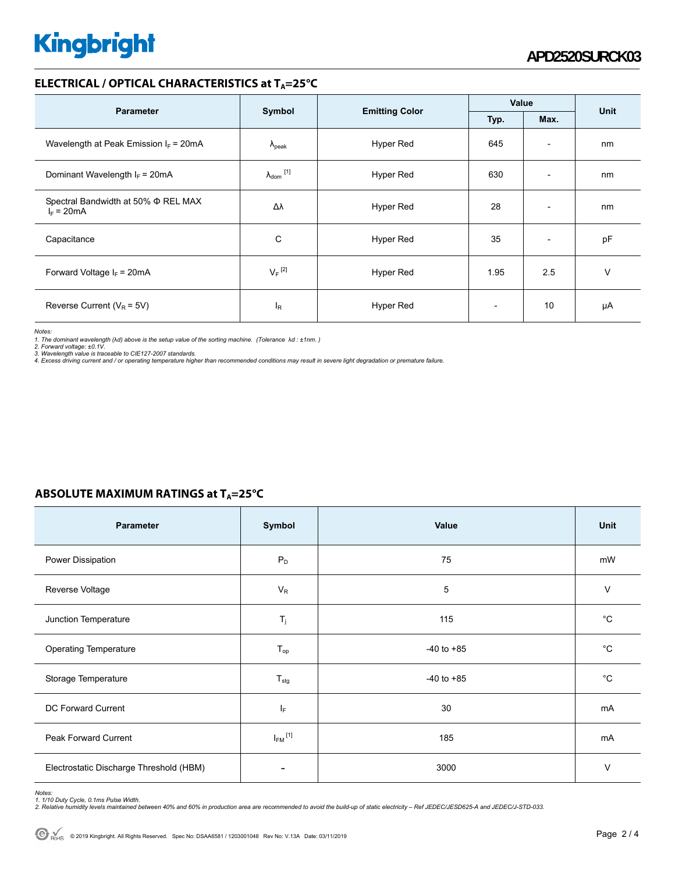# **Kingbright**

### **ELECTRICAL / OPTICAL CHARACTERISTICS at T<sub>A</sub>=25°C**

|                                                     | Symbol                     |                       | Value                    |                          |      |
|-----------------------------------------------------|----------------------------|-----------------------|--------------------------|--------------------------|------|
| <b>Parameter</b>                                    |                            | <b>Emitting Color</b> | Typ.                     | Max.                     | Unit |
| Wavelength at Peak Emission $I_F$ = 20mA            | $\lambda_{\rm peak}$       | Hyper Red             | 645                      | $\overline{\phantom{a}}$ | nm   |
| Dominant Wavelength $I_F = 20 \text{mA}$            | $\lambda_{\text{dom}}$ [1] | Hyper Red             | 630                      | $\overline{\phantom{a}}$ | nm   |
| Spectral Bandwidth at 50% Φ REL MAX<br>$I_F = 20mA$ | Δλ                         | Hyper Red             | 28                       | $\overline{\phantom{a}}$ | nm   |
| Capacitance                                         | C                          | Hyper Red             | 35                       | $\overline{\phantom{a}}$ | pF   |
| Forward Voltage $I_F$ = 20mA                        | $V_F$ <sup>[2]</sup>       | Hyper Red             | 1.95                     | 2.5                      | v    |
| Reverse Current ( $V_R$ = 5V)                       | l <sub>R</sub>             | Hyper Red             | $\overline{\phantom{0}}$ | 10                       | μA   |

*Notes:* 

1. The dominant wavelength (λd) above is the setup value of the sorting machine. (Tolerance λd : ±1nm. )<br>2. Forward voltage: ±0.1V.<br>3. Wavelength value is traceable to CIE127-2007 standards.<br>4. Excess driving current and /

| ABSOLUTE MAXIMUM RATINGS at $T_A = 25^{\circ}C$ |  |
|-------------------------------------------------|--|
|-------------------------------------------------|--|

| Parameter                               | Symbol                   | Value          | Unit         |
|-----------------------------------------|--------------------------|----------------|--------------|
| Power Dissipation                       | $P_D$                    | 75             | mW           |
| Reverse Voltage                         | $V_R$                    | 5              | V            |
| Junction Temperature                    | $T_j$                    | 115            | °С           |
| <b>Operating Temperature</b>            | $T_{op}$                 | $-40$ to $+85$ | $^{\circ}$ C |
| Storage Temperature                     | $T_{\text{stg}}$         | $-40$ to $+85$ | °С           |
| DC Forward Current                      | ΙF                       | 30             | mA           |
| Peak Forward Current                    | $I_{FM}$ <sup>[1]</sup>  | 185            | mA           |
| Electrostatic Discharge Threshold (HBM) | $\overline{\phantom{a}}$ | 3000           | $\vee$       |

Notes:<br>1. 1/10 Duty Cycle, 0.1ms Pulse Width.<br>2. Relative humidity levels maintained between 40% and 60% in production area are recommended to avoid the build-up of static electricity – Ref JEDEC/JESD625-A and JEDEC/J-STD-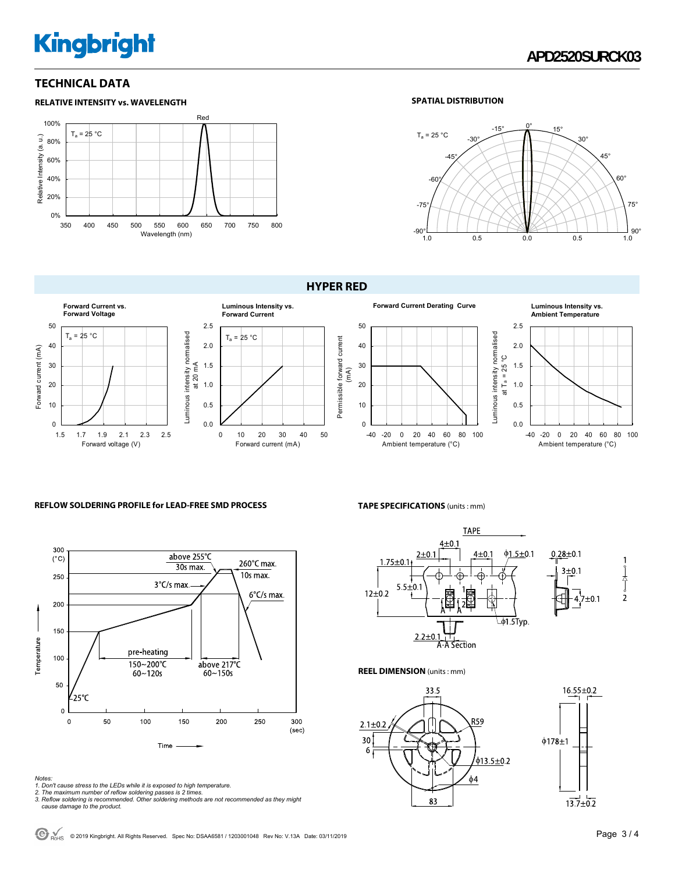# **Kingbright**

## **TECHNICAL DATA**



#### **SPATIAL DISTRIBUTION**



#### **HYPER RED**



#### **REFLOW SOLDERING PROFILE for LEAD-FREE SMD PROCESS**



- *Notes: 1. Don't cause stress to the LEDs while it is exposed to high temperature. 2. The maximum number of reflow soldering passes is 2 times.*
- 
- *3. Reflow soldering is recommended. Other soldering methods are not recommended as they might cause damage to the product.*

# **Ambient Temperature**



#### **TAPE SPECIFICATIONS** (units : mm)



**REEL DIMENSION** (units : mm)





 $\bigodot$ <sub>RoHS</sub> © 2019 Kingbright. All Rights Reserved. Spec No: DSAA6581 / 1203001048 Rev No: V.13A Date: 03/11/2019